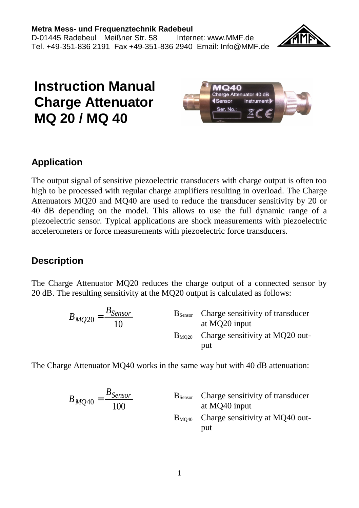

# **Instruction Manual Charge Attenuator MQ 20 / MQ 40**



### **Application**

The output signal of sensitive piezoelectric transducers with charge output is often too high to be processed with regular charge amplifiers resulting in overload. The Charge Attenuators MQ20 and MQ40 are used to reduce the transducer sensitivity by 20 or 40 dB depending on the model. This allows to use the full dynamic range of a piezoelectric sensor. Typical applications are shock measurements with piezoelectric accelerometers or force measurements with piezoelectric force transducers.

#### **Description**

The Charge Attenuator MQ20 reduces the charge output of a connected sensor by 20 dB. The resulting sensitivity at the MQ20 output is calculated as follows:

$$
B_{MQ20} = \frac{B_{Sensor}}{10}
$$
 B<sub>Sensor</sub> Charge sensitivity of transducer  
at MQ20 input  
B<sub>MQ20</sub> Chapter 10  
charge sensitivity at MQ20 output

The Charge Attenuator MQ40 works in the same way but with 40 dB attenuation:

$$
B_{MQ40} = \frac{B_{Sensor}}{100}
$$
 B<sub>Sensor</sub> Charge sensitivity of transducer  
at MQ40 input  
B<sub>MQ40</sub> Charge sensitivity at MQ40 output  
put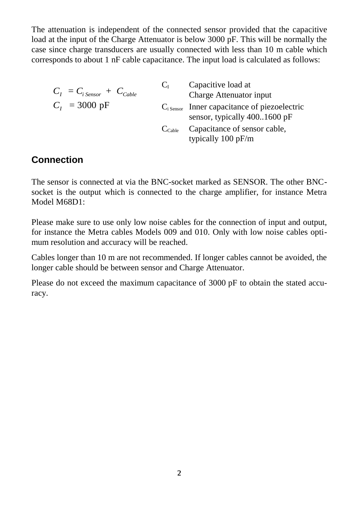The attenuation is independent of the connected sensor provided that the capacitive load at the input of the Charge Attenuator is below 3000 pF. This will be normally the case since charge transducers are usually connected with less than 10 m cable which corresponds to about 1 nF cable capacitance. The input load is calculated as follows:

| $C_I = C_{i \text{Sensor}} + C_{Cable}$ | $C_{I}$            | Capacitive load at                                                                        |
|-----------------------------------------|--------------------|-------------------------------------------------------------------------------------------|
|                                         |                    | Charge Attenuator input                                                                   |
| $C_{I}$ = 3000 pF                       |                    | $Ci$ <sub>Sensor</sub> Inner capacitance of piezoelectric<br>sensor, typically 4001600 pF |
|                                         | $C_{\text{Cable}}$ | Capacitance of sensor cable,<br>typically 100 pF/m                                        |

#### **Connection**

The sensor is connected at via the BNC-socket marked as SENSOR. The other BNCsocket is the output which is connected to the charge amplifier, for instance Metra Model M68D1:

Please make sure to use only low noise cables for the connection of input and output, for instance the Metra cables Models 009 and 010. Only with low noise cables optimum resolution and accuracy will be reached.

Cables longer than 10 m are not recommended. If longer cables cannot be avoided, the longer cable should be between sensor and Charge Attenuator.

Please do not exceed the maximum capacitance of 3000 pF to obtain the stated accuracy.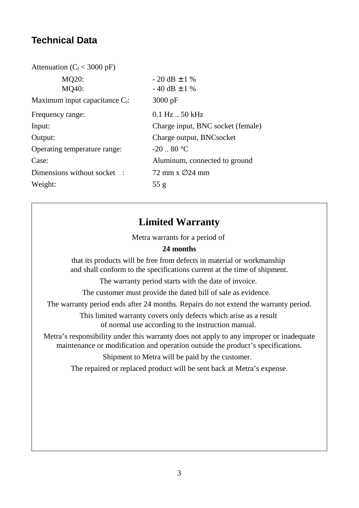# **Technical Data**

| Attenuation ( $C_I < 3000 \text{ pF}$ ) |                                   |
|-----------------------------------------|-----------------------------------|
| MQ20:                                   | $-20$ dB $\pm$ 1 %                |
| MO40:                                   | $-40$ dB $\pm$ 1 %                |
| Maximum input capacitance $C_1$ :       | $3000 \text{ pF}$                 |
| Frequency range:                        | $0.1$ Hz $.50$ kHz                |
| Input:                                  | Charge input, BNC socket (female) |
| Output:                                 | Charge output, BNCsocket          |
| Operating temperature range:            | $-20.80$ °C                       |
| Case:                                   | Aluminum, connected to ground     |
| Dimensions without socket:              | 72 mm x $\varnothing$ 24 mm       |
| Weight:                                 | 55 g                              |
|                                         |                                   |

# **Limited Warranty**

Metra warrants for a period of

#### **24 months**

that its products will be free from defects in material or workmanship and shall conform to the specifications current at the time of shipment.

The warranty period starts with the date of invoice.

The customer must provide the dated bill of sale as evidence.

The warranty period ends after 24 months. Repairs do not extend the warranty period.

This limited warranty covers only defects which arise as a result of normal use according to the instruction manual.

Metra's responsibility under this warranty does not apply to any improper or inadequate maintenance or modification and operation outside the product's specifications.

Shipment to Metra will be paid by the customer.

The repaired or replaced product will be sent back at Metra's expense.